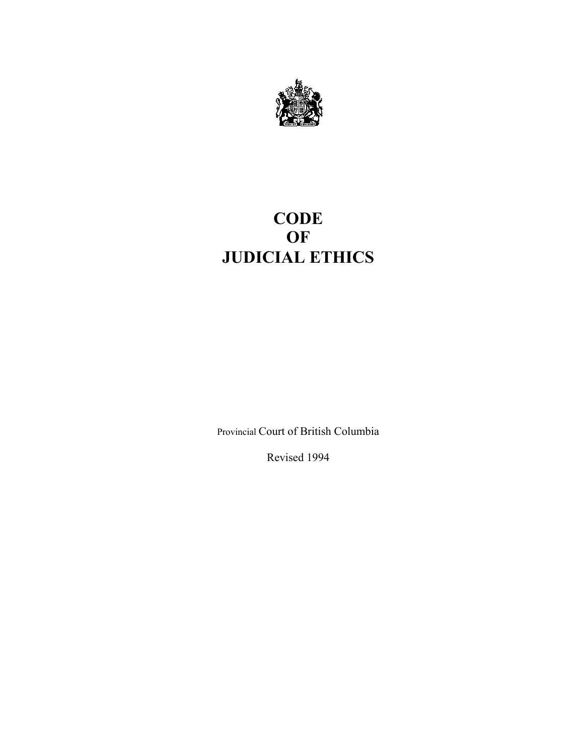

# **CODE OF JUDICIAL ETHICS**

Provincial Court of British Columbia

Revised 1994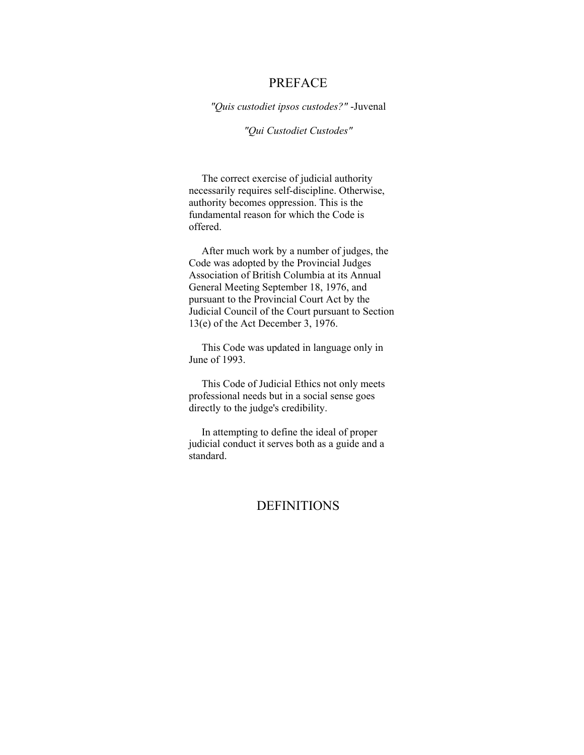## PREFACE

*"Quis custodiet ipsos custodes?"* -Juvenal

### *"Qui Custodiet Custodes"*

The correct exercise of judicial authority necessarily requires self-discipline. Otherwise, authority becomes oppression. This is the fundamental reason for which the Code is offered.

After much work by a number of judges, the Code was adopted by the Provincial Judges Association of British Columbia at its Annual General Meeting September 18, 1976, and pursuant to the Provincial Court Act by the Judicial Council of the Court pursuant to Section 13(e) of the Act December 3, 1976.

This Code was updated in language only in June of 1993.

This Code of Judicial Ethics not only meets professional needs but in a social sense goes directly to the judge's credibility.

In attempting to define the ideal of proper judicial conduct it serves both as a guide and a standard.

# DEFINITIONS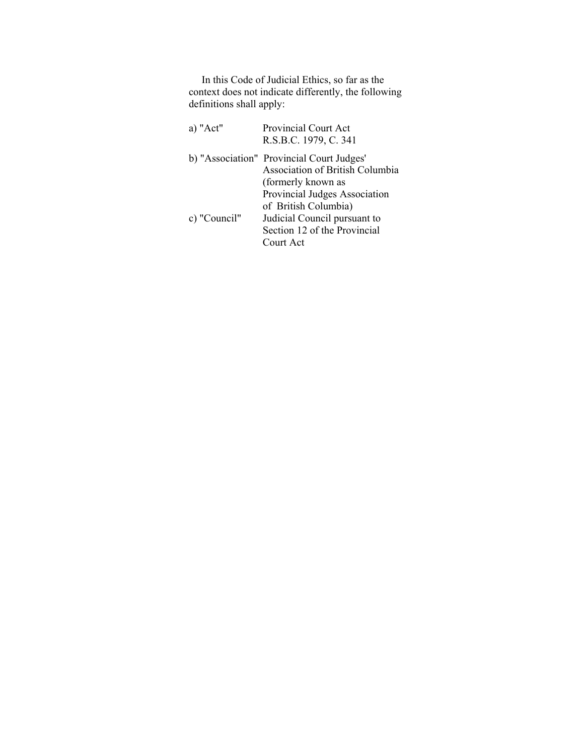In this Code of Judicial Ethics, so far as the context does not indicate differently, the following definitions shall apply:

| a) "Act"     | Provincial Court Act<br>R.S.B.C. 1979, C. 341                                                                                      |
|--------------|------------------------------------------------------------------------------------------------------------------------------------|
|              | b) "Association" Provincial Court Judges"<br><b>Association of British Columbia</b><br>(formerly known as                          |
| c) "Council" | Provincial Judges Association<br>of British Columbia)<br>Judicial Council pursuant to<br>Section 12 of the Provincial<br>Court Act |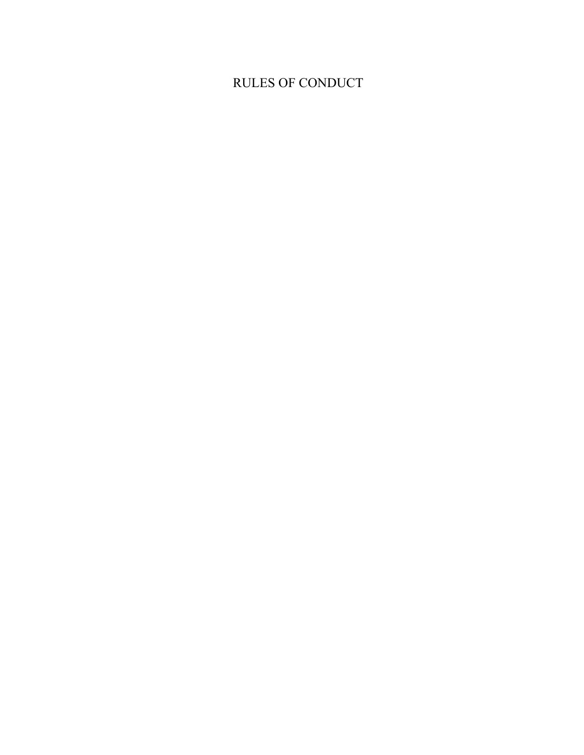# RULES OF CONDUCT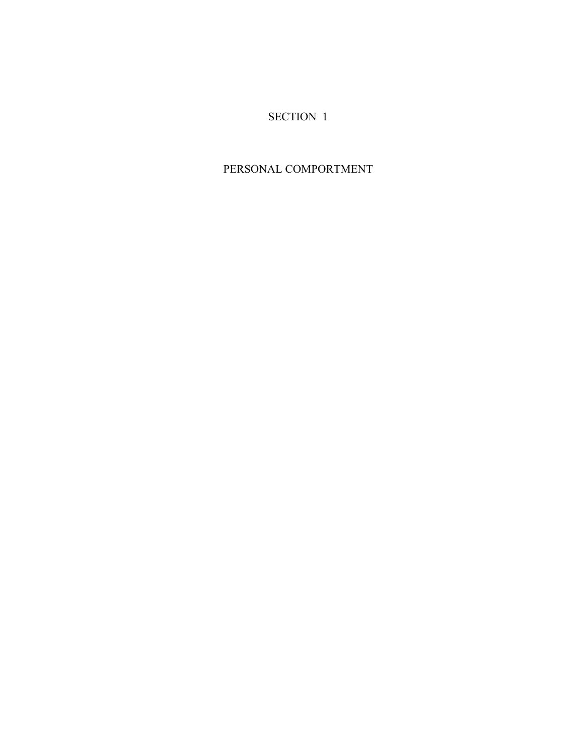# SECTION 1

# PERSONAL COMPORTMENT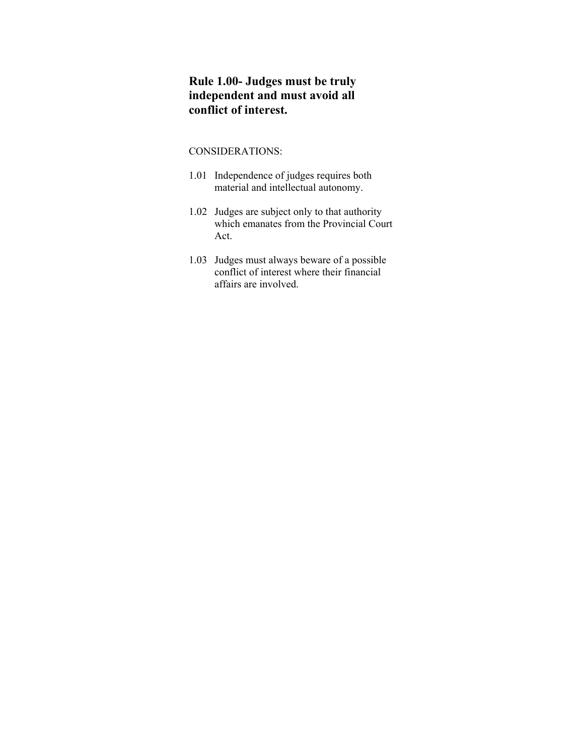# **Rule 1.00- Judges must be truly independent and must avoid all conflict of interest.**

- 1.01 Independence of judges requires both material and intellectual autonomy.
- 1.02 Judges are subject only to that authority which emanates from the Provincial Court Act.
- 1.03 Judges must always beware of a possible conflict of interest where their financial affairs are involved.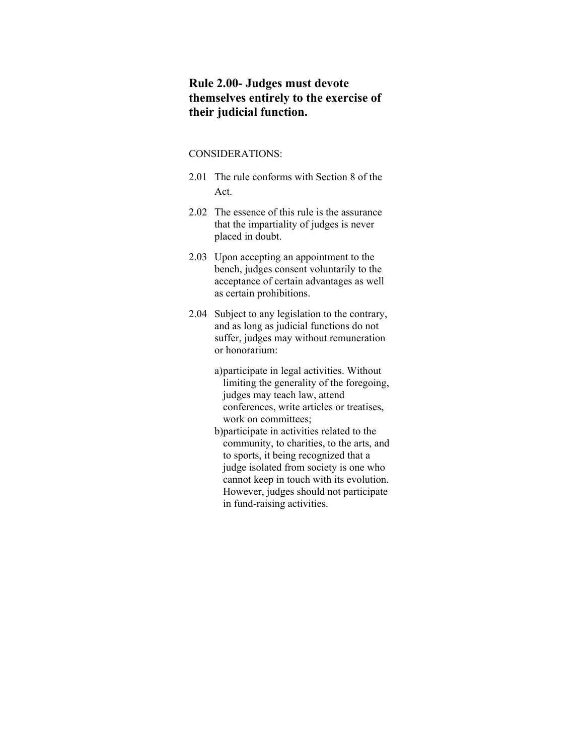### **Rule 2.00- Judges must devote themselves entirely to the exercise of their judicial function.**

### CONSIDERATIONS:

- 2.01 The rule conforms with Section 8 of the Act.
- 2.02 The essence of this rule is the assurance that the impartiality of judges is never placed in doubt.
- 2.03 Upon accepting an appointment to the bench, judges consent voluntarily to the acceptance of certain advantages as well as certain prohibitions.
- 2.04 Subject to any legislation to the contrary, and as long as judicial functions do not suffer, judges may without remuneration or honorarium:

a)participate in legal activities. Without limiting the generality of the foregoing, judges may teach law, attend conferences, write articles or treatises, work on committees;

b)participate in activities related to the community, to charities, to the arts, and to sports, it being recognized that a judge isolated from society is one who cannot keep in touch with its evolution. However, judges should not participate in fund-raising activities.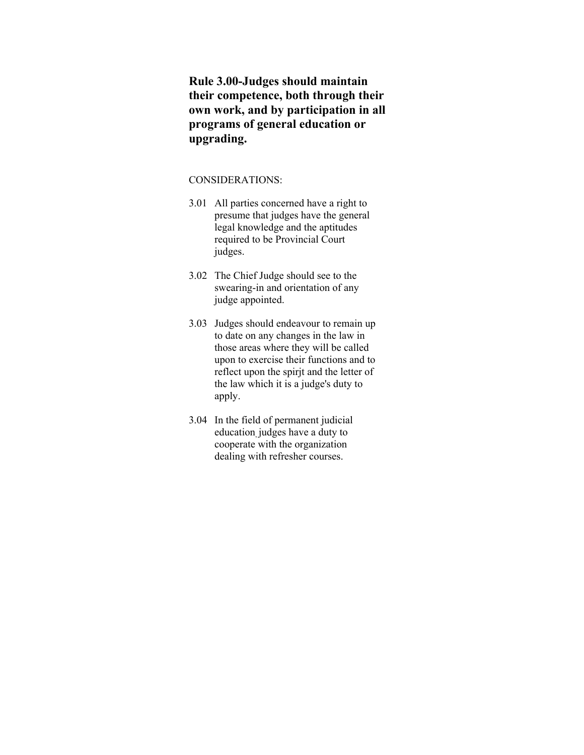**Rule 3.00-Judges should maintain their competence, both through their own work, and by participation in all programs of general education or upgrading.**

- 3.01 All parties concerned have a right to presume that judges have the general legal knowledge and the aptitudes required to be Provincial Court judges.
- 3.02 The Chief Judge should see to the swearing-in and orientation of any judge appointed.
- 3.03 Judges should endeavour to remain up to date on any changes in the law in those areas where they will be called upon to exercise their functions and to reflect upon the spirjt and the letter of the law which it is a judge's duty to apply.
- 3.04 In the field of permanent judicial education, judges have a duty to cooperate with the organization dealing with refresher courses.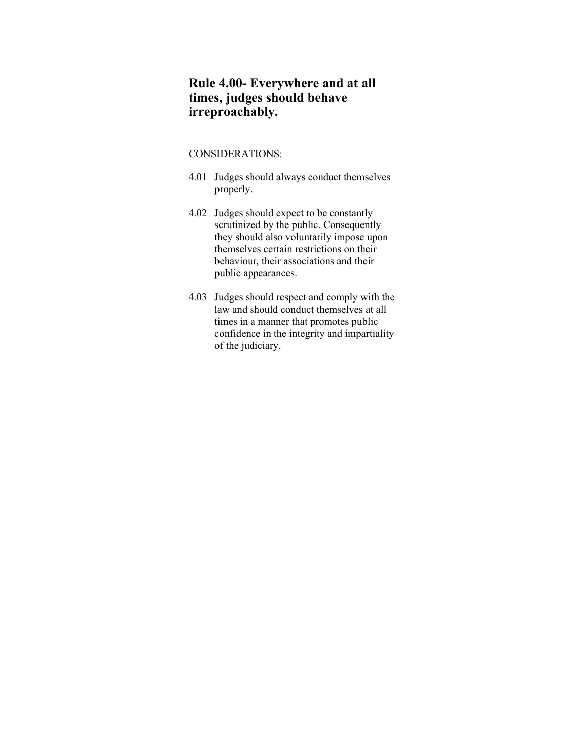# **Rule 4.00- Everywhere and at all times, judges should behave irreproachably.**

- 4.01 Judges should always conduct themselves properly.
- 4.02 Judges should expect to be constantly scrutinized by the public. Consequently they should also voluntarily impose upon themselves certain restrictions on their behaviour, their associations and their public appearances.
- 4.03 Judges should respect and comply with the law and should conduct themselves at all times in a manner that promotes public confidence in the integrity and impartiality of the judiciary.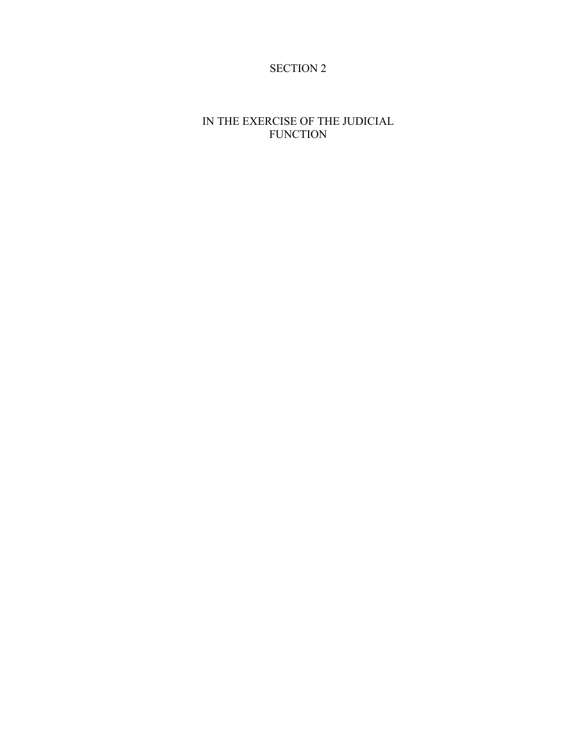# SECTION 2

# IN THE EXERCISE OF THE JUDICIAL FUNCTION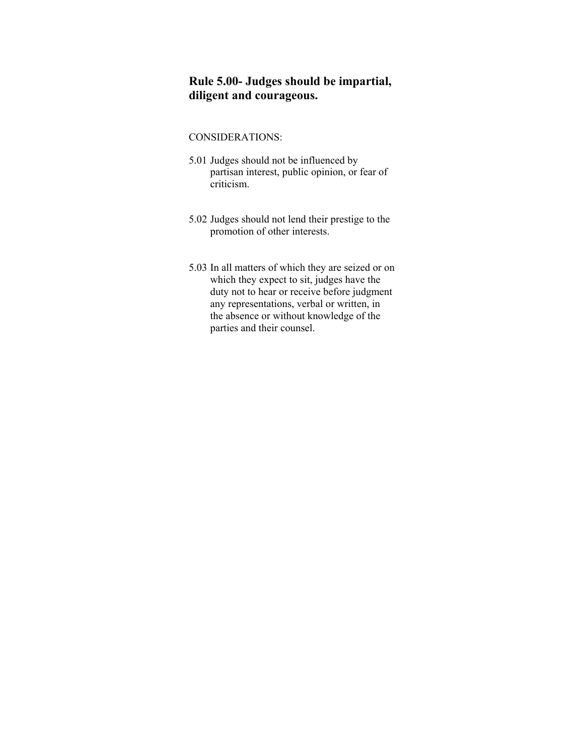# **Rule 5.00- Judges should be impartial, diligent and courageous.**

- 5.01 Judges should not be influenced by partisan interest, public opinion, or fear of criticism.
- 5.02 Judges should not lend their prestige to the promotion of other interests.
- 5.03 In all matters of which they are seized or on which they expect to sit, judges have the duty not to hear or receive before judgment any representations, verbal or written, in the absence or without knowledge of the parties and their counsel.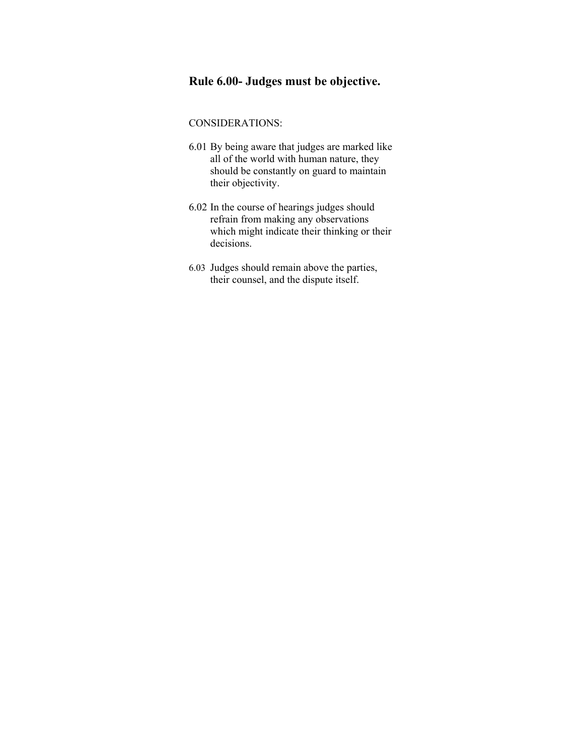# **Rule 6.00- Judges must be objective.**

- 6.01 By being aware that judges are marked like all of the world with human nature, they should be constantly on guard to maintain their objectivity.
- 6.02 In the course of hearings judges should refrain from making any observations which might indicate their thinking or their decisions.
- 6.03 Judges should remain above the parties, their counsel, and the dispute itself.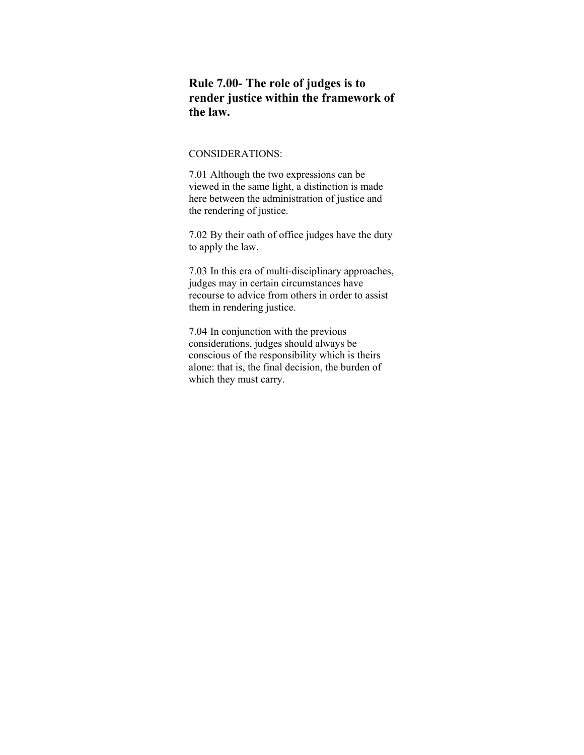### **Rule 7.00- The role of judges is to render justice within the framework of the law.**

### CONSIDERATIONS:

7.01 Although the two expressions can be viewed in the same light, a distinction is made here between the administration of justice and the rendering of justice.

7.02 By their oath of office judges have the duty to apply the law.

7.03 In this era of multi-disciplinary approaches, judges may in certain circumstances have recourse to advice from others in order to assist them in rendering justice.

7.04 In conjunction with the previous considerations, judges should always be conscious of the responsibility which is theirs alone: that is, the final decision, the burden of which they must carry.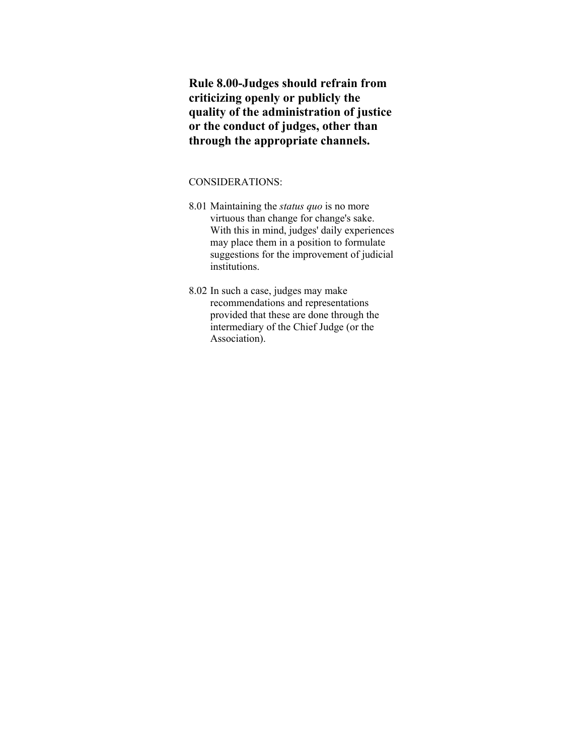**Rule 8.00-Judges should refrain from criticizing openly or publicly the quality of the administration of justice or the conduct of judges, other than through the appropriate channels.**

- 8.01 Maintaining the *status quo* is no more virtuous than change for change's sake. With this in mind, judges' daily experiences may place them in a position to formulate suggestions for the improvement of judicial institutions.
- 8.02 In such a case, judges may make recommendations and representations provided that these are done through the intermediary of the Chief Judge (or the Association).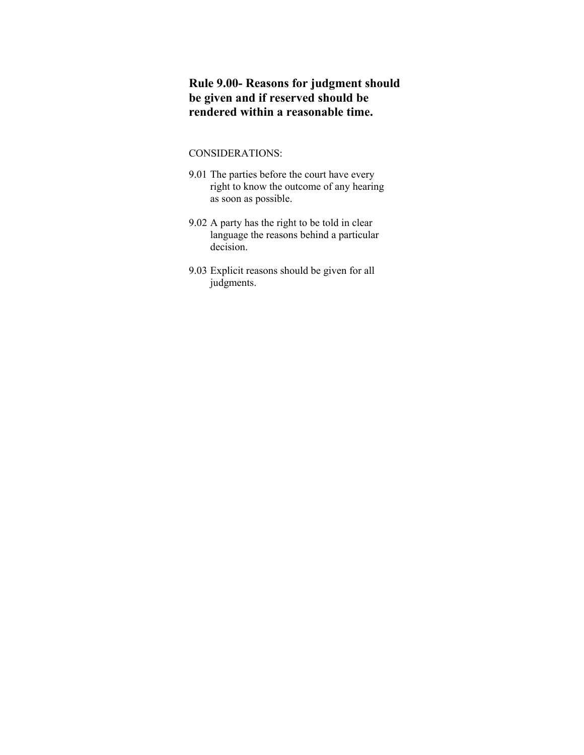# **Rule 9.00- Reasons for judgment should be given and if reserved should be rendered within a reasonable time.**

- 9.01 The parties before the court have every right to know the outcome of any hearing as soon as possible.
- 9.02 A party has the right to be told in clear language the reasons behind a particular decision.
- 9.03 Explicit reasons should be given for all judgments.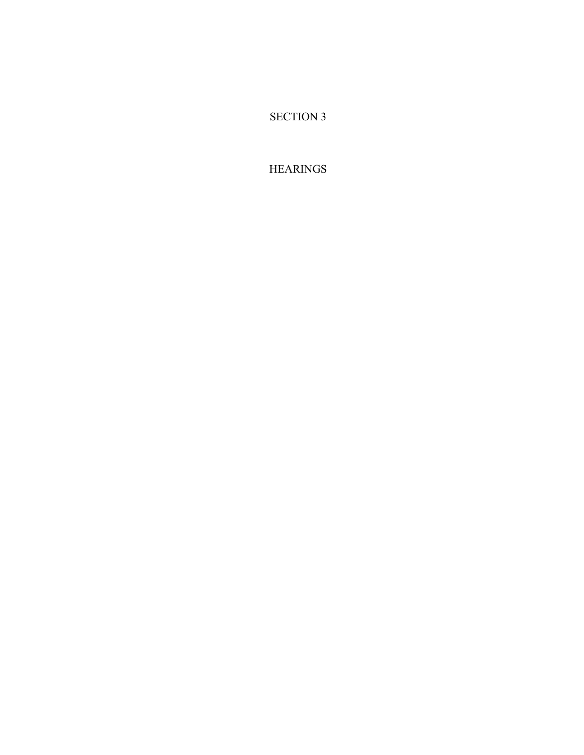SECTION 3

**HEARINGS**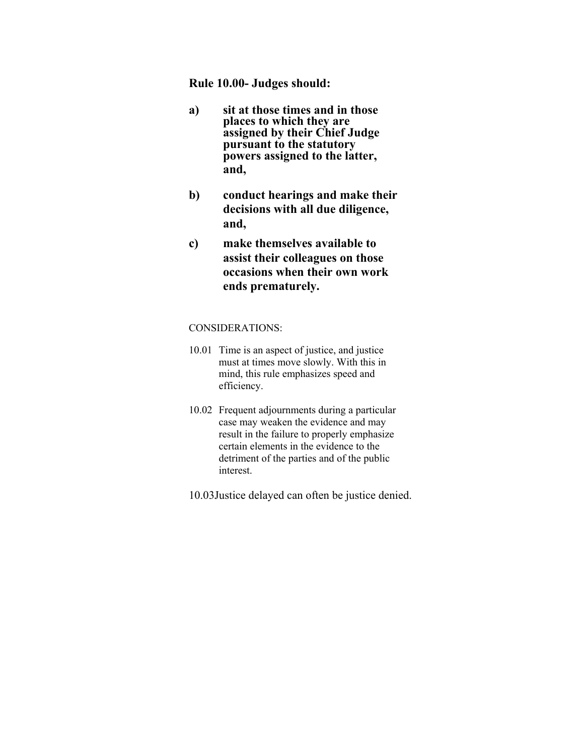### **Rule 10.00- Judges should:**

- **a) sit at those times and in those places to which they are assigned by their Chief Judge pursuant to the statutory powers assigned to the latter, and,**
- **b) conduct hearings and make their decisions with all due diligence, and,**
- **c) make themselves available to assist their colleagues on those occasions when their own work ends prematurely.**

- 10.01 Time is an aspect of justice, and justice must at times move slowly. With this in mind, this rule emphasizes speed and efficiency.
- 10.02 Frequent adjournments during a particular case may weaken the evidence and may result in the failure to properly emphasize certain elements in the evidence to the detriment of the parties and of the public interest.
- 10.03Justice delayed can often be justice denied.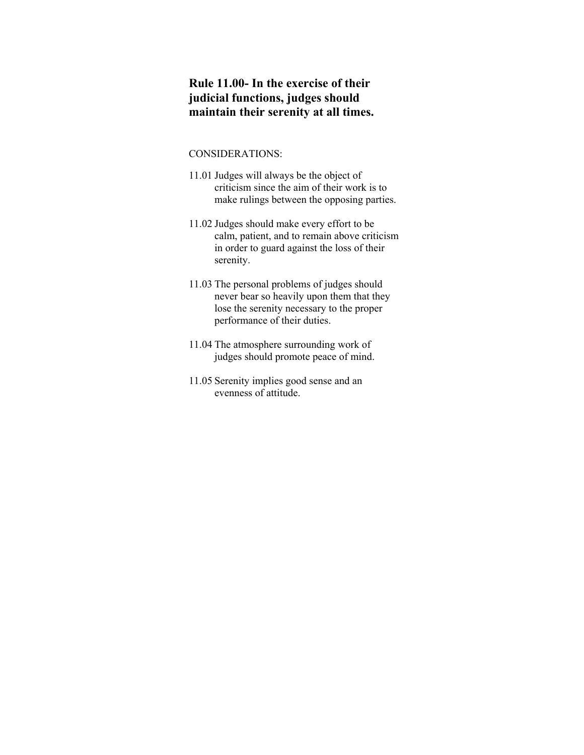# **Rule 11.00- In the exercise of their judicial functions, judges should maintain their serenity at all times.**

- 11.01 Judges will always be the object of criticism since the aim of their work is to make rulings between the opposing parties.
- 11.02 Judges should make every effort to be calm, patient, and to remain above criticism in order to guard against the loss of their serenity.
- 11.03 The personal problems of judges should never bear so heavily upon them that they lose the serenity necessary to the proper performance of their duties.
- 11.04 The atmosphere surrounding work of judges should promote peace of mind.
- 11.05 Serenity implies good sense and an evenness of attitude.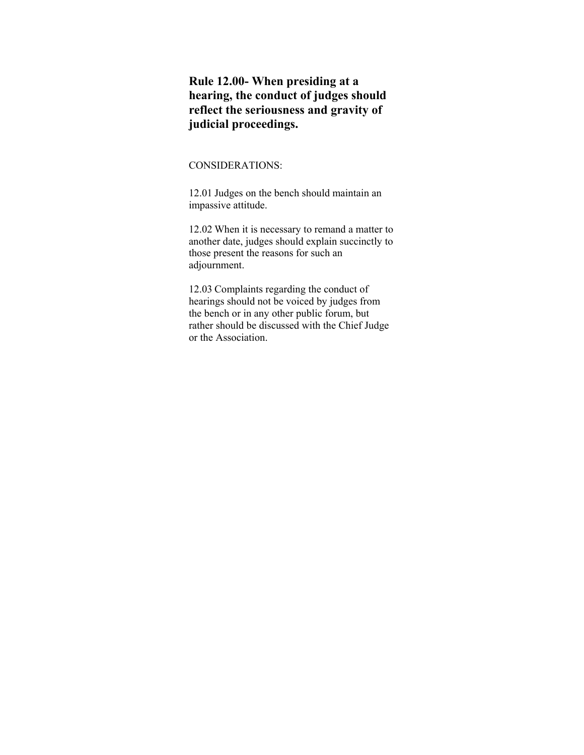# **Rule 12.00- When presiding at a hearing, the conduct of judges should reflect the seriousness and gravity of judicial proceedings.**

### CONSIDERATIONS:

12.01 Judges on the bench should maintain an impassive attitude.

12.02 When it is necessary to remand a matter to another date, judges should explain succinctly to those present the reasons for such an adjournment.

12.03 Complaints regarding the conduct of hearings should not be voiced by judges from the bench or in any other public forum, but rather should be discussed with the Chief Judge or the Association.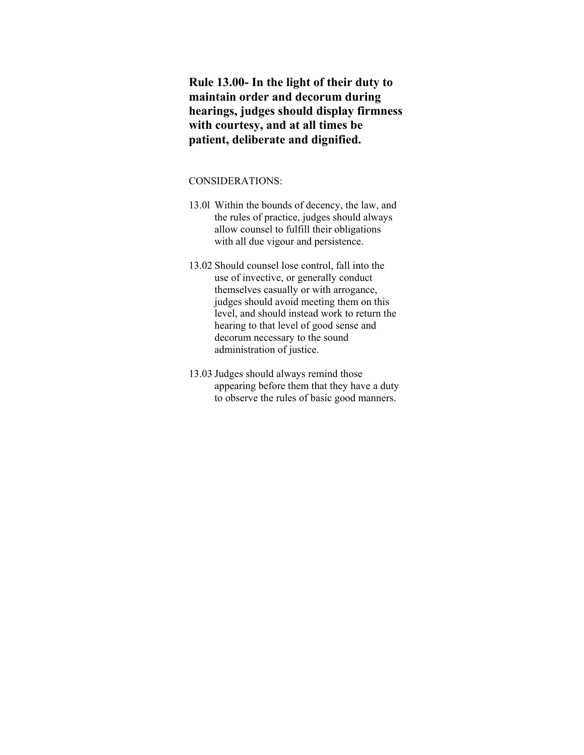**Rule 13.00- In the light of their duty to maintain order and decorum during hearings, judges should display firmness with courtesy, and at all times be patient, deliberate and dignified.**

- 13.0l Within the bounds of decency, the law, and the rules of practice, judges should always allow counsel to fulfill their obligations with all due vigour and persistence.
- 13.02 Should counsel lose control, fall into the use of invective, or generally conduct themselves casually or with arrogance, judges should avoid meeting them on this level, and should instead work to return the hearing to that level of good sense and decorum necessary to the sound administration of justice.
- 13.03 Judges should always remind those appearing before them that they have a duty to observe the rules of basic good manners.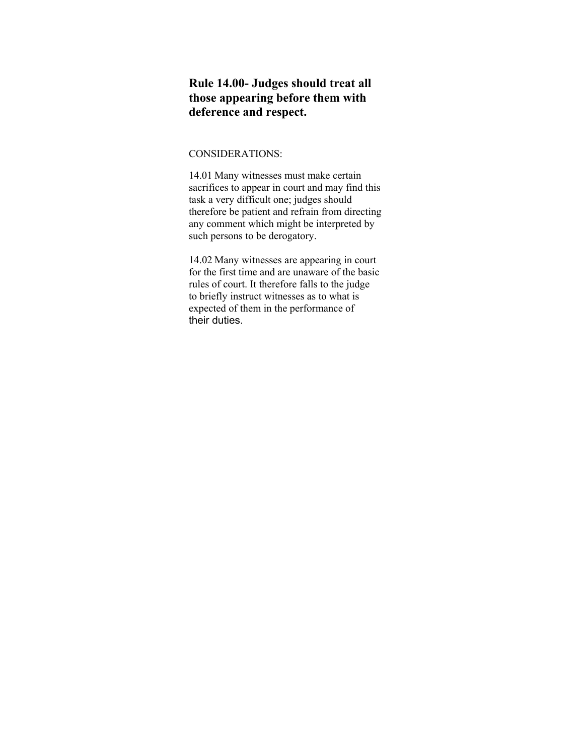# **Rule 14.00- Judges should treat all those appearing before them with deference and respect.**

### CONSIDERATIONS:

14.01 Many witnesses must make certain sacrifices to appear in court and may find this task a very difficult one; judges should therefore be patient and refrain from directing any comment which might be interpreted by such persons to be derogatory.

14.02 Many witnesses are appearing in court for the first time and are unaware of the basic rules of court. It therefore falls to the judge to briefly instruct witnesses as to what is expected of them in the performance of their duties.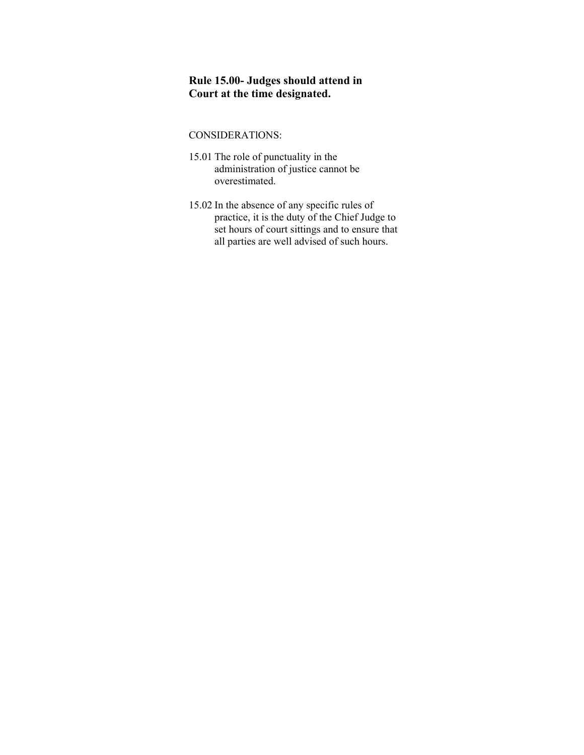# **Rule 15.00- Judges should attend in Court at the time designated.**

- 15.01 The role of punctuality in the administration of justice cannot be overestimated.
- 15.02 In the absence of any specific rules of practice, it is the duty of the Chief Judge to set hours of court sittings and to ensure that all parties are well advised of such hours.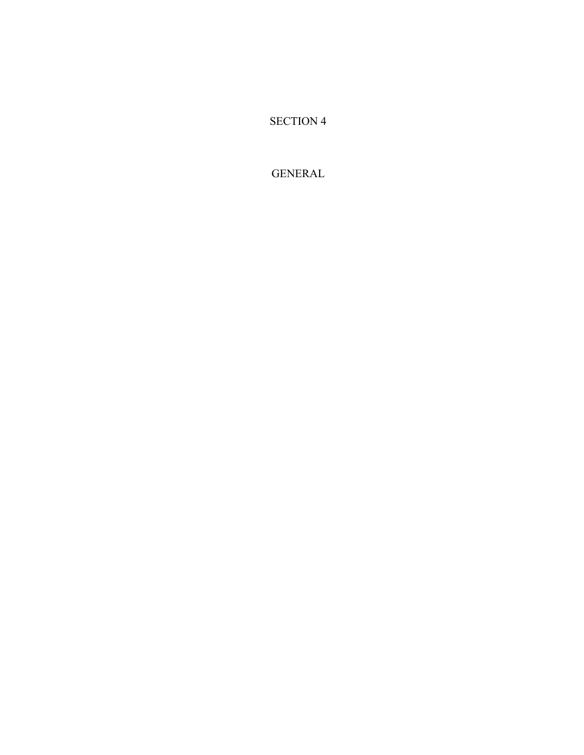SECTION 4

GENERAL